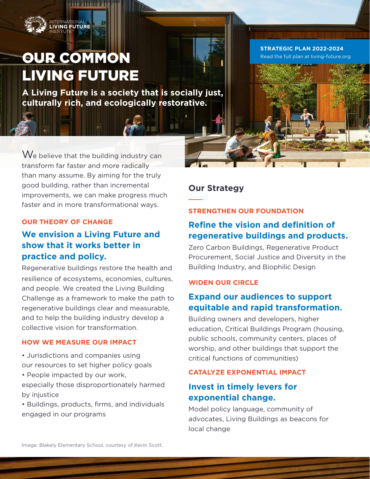

# OUR COMMON LIVING FUTURE

**A Living Future is a society that is socially just, culturally rich, and ecologically restorative.**

**STRATEGIC PLAN 2022-2024** [Read the full plan at living-future.org](https://living-future.org/)

We believe that the building industry can transform far faster and more radically than many assume. By aiming for the truly good building, rather than incremental improvements, we can make progress much faster and in more transformational ways.

#### **OUR THEORY OF CHANGE**

## **We envision a Living Future and show that it works better in practice and policy.**

Regenerative buildings restore the health and resilience of ecosystems, economies, cultures, and people. We created the Living Building Challenge as a framework to make the path to regenerative buildings clear and measurable, and to help the building industry develop a collective vision for transformation.

#### **HOW WE MEASURE OUR IMPACT**

- Jurisdictions and companies using our resources to set higher policy goals
- People impacted by our work,

especially those disproportionately harmed by injustice

• Buildings, products, firms, and individuals engaged in our programs

## **Our Strategy**

### **STRENGTHEN OUR FOUNDATION**

## **Refine the vision and definition of regenerative buildings and products.**

Zero Carbon Buildings, Regenerative Product Procurement, Social Justice and Diversity in the Building Industry, and Biophilic Design

### **WIDEN OUR CIRCLE**

## **Expand our audiences to support equitable and rapid transformation.**

Building owners and developers, higher education, Critical Buildings Program (housing, public schools, community centers, places of worship, and other buildings that support the critical functions of communities)

### **CATALYZE EXPONENTIAL IMPACT**

## **Invest in timely levers for exponential change.**

Model policy language, community of advocates, Living Buildings as beacons for local change